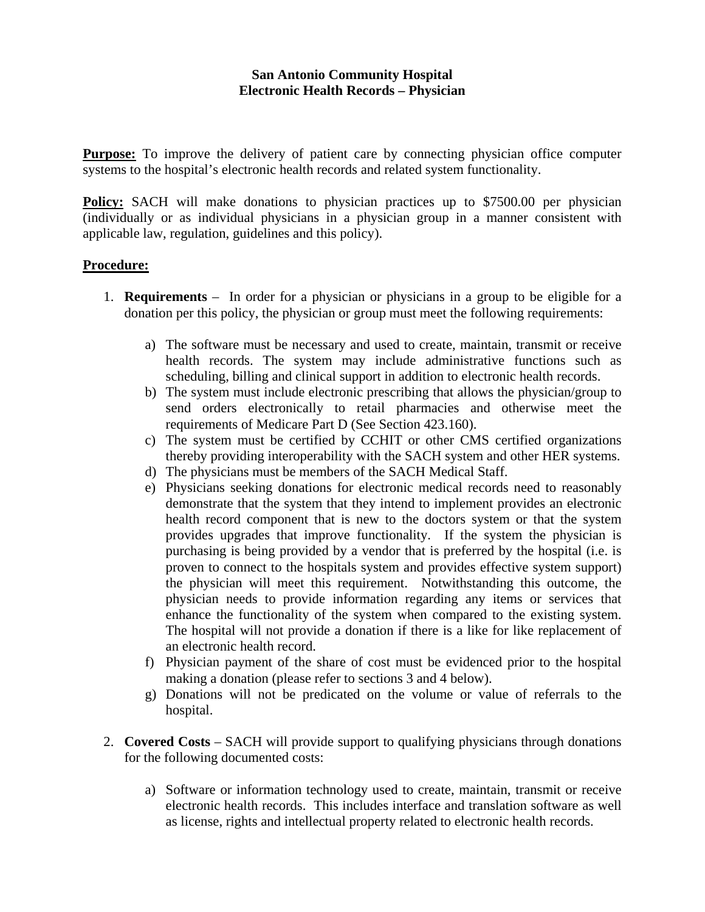## **San Antonio Community Hospital Electronic Health Records – Physician**

**Purpose:** To improve the delivery of patient care by connecting physician office computer systems to the hospital's electronic health records and related system functionality.

**Policy:** SACH will make donations to physician practices up to \$7500.00 per physician (individually or as individual physicians in a physician group in a manner consistent with applicable law, regulation, guidelines and this policy).

## **Procedure:**

- 1. **Requirements** In order for a physician or physicians in a group to be eligible for a donation per this policy, the physician or group must meet the following requirements:
	- a) The software must be necessary and used to create, maintain, transmit or receive health records. The system may include administrative functions such as scheduling, billing and clinical support in addition to electronic health records.
	- b) The system must include electronic prescribing that allows the physician/group to send orders electronically to retail pharmacies and otherwise meet the requirements of Medicare Part D (See Section 423.160).
	- c) The system must be certified by CCHIT or other CMS certified organizations thereby providing interoperability with the SACH system and other HER systems.
	- d) The physicians must be members of the SACH Medical Staff.
	- e) Physicians seeking donations for electronic medical records need to reasonably demonstrate that the system that they intend to implement provides an electronic health record component that is new to the doctors system or that the system provides upgrades that improve functionality. If the system the physician is purchasing is being provided by a vendor that is preferred by the hospital (i.e. is proven to connect to the hospitals system and provides effective system support) the physician will meet this requirement. Notwithstanding this outcome, the physician needs to provide information regarding any items or services that enhance the functionality of the system when compared to the existing system. The hospital will not provide a donation if there is a like for like replacement of an electronic health record.
	- f) Physician payment of the share of cost must be evidenced prior to the hospital making a donation (please refer to sections 3 and 4 below).
	- g) Donations will not be predicated on the volume or value of referrals to the hospital.
- 2. **Covered Costs** SACH will provide support to qualifying physicians through donations for the following documented costs:
	- a) Software or information technology used to create, maintain, transmit or receive electronic health records. This includes interface and translation software as well as license, rights and intellectual property related to electronic health records.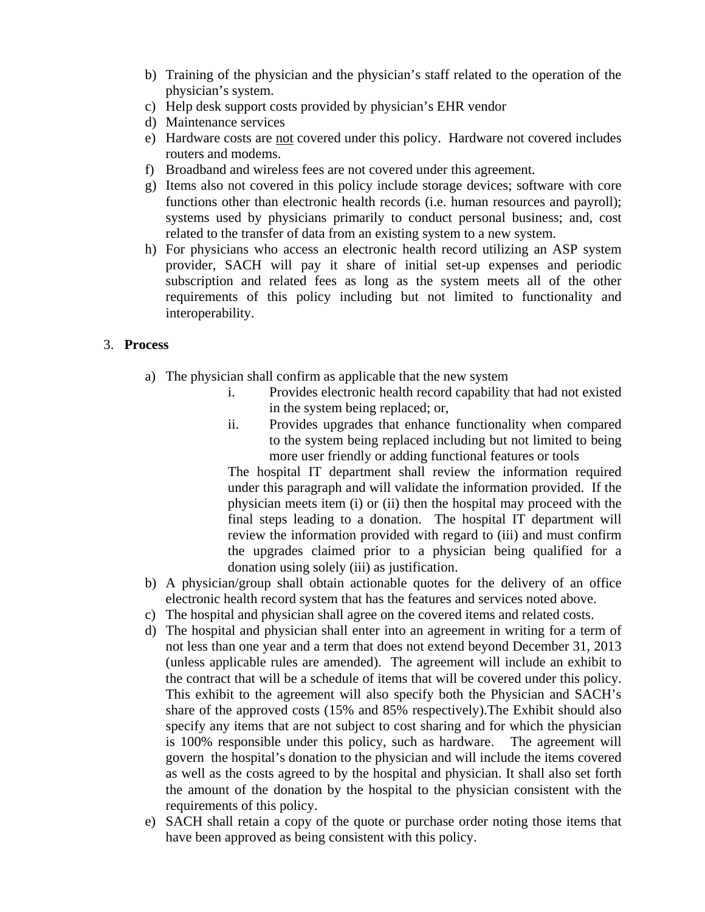- b) Training of the physician and the physician's staff related to the operation of the physician's system.
- c) Help desk support costs provided by physician's EHR vendor
- d) Maintenance services
- e) Hardware costs are not covered under this policy. Hardware not covered includes routers and modems.
- f) Broadband and wireless fees are not covered under this agreement.
- g) Items also not covered in this policy include storage devices; software with core functions other than electronic health records (i.e. human resources and payroll); systems used by physicians primarily to conduct personal business; and, cost related to the transfer of data from an existing system to a new system.
- h) For physicians who access an electronic health record utilizing an ASP system provider, SACH will pay it share of initial set-up expenses and periodic subscription and related fees as long as the system meets all of the other requirements of this policy including but not limited to functionality and interoperability.

## 3. **Process**

- a) The physician shall confirm as applicable that the new system
	- i. Provides electronic health record capability that had not existed in the system being replaced; or,
	- ii. Provides upgrades that enhance functionality when compared to the system being replaced including but not limited to being more user friendly or adding functional features or tools

The hospital IT department shall review the information required under this paragraph and will validate the information provided. If the physician meets item (i) or (ii) then the hospital may proceed with the final steps leading to a donation. The hospital IT department will review the information provided with regard to (iii) and must confirm the upgrades claimed prior to a physician being qualified for a donation using solely (iii) as justification.

- b) A physician/group shall obtain actionable quotes for the delivery of an office electronic health record system that has the features and services noted above.
- c) The hospital and physician shall agree on the covered items and related costs.
- d) The hospital and physician shall enter into an agreement in writing for a term of not less than one year and a term that does not extend beyond December 31, 2013 (unless applicable rules are amended). The agreement will include an exhibit to the contract that will be a schedule of items that will be covered under this policy. This exhibit to the agreement will also specify both the Physician and SACH's share of the approved costs (15% and 85% respectively).The Exhibit should also specify any items that are not subject to cost sharing and for which the physician is 100% responsible under this policy, such as hardware. The agreement will govern the hospital's donation to the physician and will include the items covered as well as the costs agreed to by the hospital and physician. It shall also set forth the amount of the donation by the hospital to the physician consistent with the requirements of this policy.
- e) SACH shall retain a copy of the quote or purchase order noting those items that have been approved as being consistent with this policy.